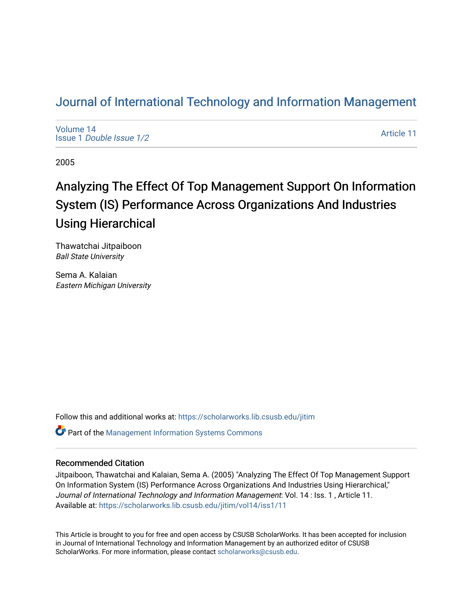# [Journal of International Technology and Information Management](https://scholarworks.lib.csusb.edu/jitim)

[Volume 14](https://scholarworks.lib.csusb.edu/jitim/vol14) Issue 1 [Double Issue 1/2](https://scholarworks.lib.csusb.edu/jitim/vol14/iss1) 

[Article 11](https://scholarworks.lib.csusb.edu/jitim/vol14/iss1/11) 

2005

# Analyzing The Effect Of Top Management Support On Information System (IS) Performance Across Organizations And Industries Using Hierarchical

Thawatchai Jitpaiboon Ball State University

Sema A. Kalaian Eastern Michigan University

Follow this and additional works at: [https://scholarworks.lib.csusb.edu/jitim](https://scholarworks.lib.csusb.edu/jitim?utm_source=scholarworks.lib.csusb.edu%2Fjitim%2Fvol14%2Fiss1%2F11&utm_medium=PDF&utm_campaign=PDFCoverPages) 

**C** Part of the Management Information Systems Commons

# Recommended Citation

Jitpaiboon, Thawatchai and Kalaian, Sema A. (2005) "Analyzing The Effect Of Top Management Support On Information System (IS) Performance Across Organizations And Industries Using Hierarchical," Journal of International Technology and Information Management: Vol. 14 : Iss. 1 , Article 11. Available at: [https://scholarworks.lib.csusb.edu/jitim/vol14/iss1/11](https://scholarworks.lib.csusb.edu/jitim/vol14/iss1/11?utm_source=scholarworks.lib.csusb.edu%2Fjitim%2Fvol14%2Fiss1%2F11&utm_medium=PDF&utm_campaign=PDFCoverPages)

This Article is brought to you for free and open access by CSUSB ScholarWorks. It has been accepted for inclusion in Journal of International Technology and Information Management by an authorized editor of CSUSB ScholarWorks. For more information, please contact [scholarworks@csusb.edu.](mailto:scholarworks@csusb.edu)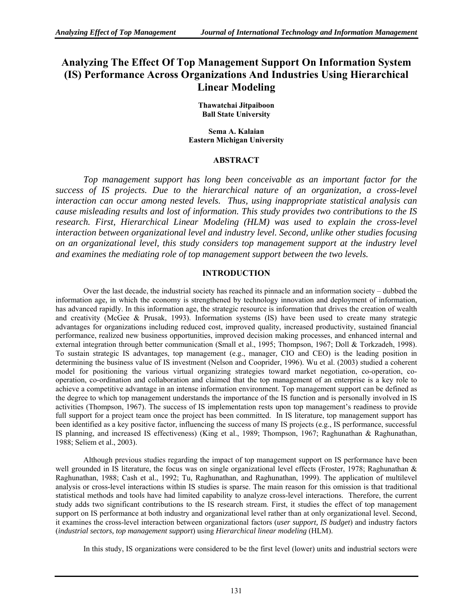# **Analyzing The Effect Of Top Management Support On Information System (IS) Performance Across Organizations And Industries Using Hierarchical Linear Modeling**

**Thawatchai Jitpaiboon Ball State University** 

**Sema A. Kalaian Eastern Michigan University** 

# **ABSTRACT**

*Top management support has long been conceivable as an important factor for the success of IS projects. Due to the hierarchical nature of an organization, a cross-level interaction can occur among nested levels. Thus, using inappropriate statistical analysis can cause misleading results and lost of information. This study provides two contributions to the IS research. First, Hierarchical Linear Modeling (HLM) was used to explain the cross-level interaction between organizational level and industry level. Second, unlike other studies focusing on an organizational level, this study considers top management support at the industry level and examines the mediating role of top management support between the two levels.* 

# **INTRODUCTION**

Over the last decade, the industrial society has reached its pinnacle and an information society – dubbed the information age*,* in which the economy is strengthened by technology innovation and deployment of information, has advanced rapidly. In this information age, the strategic resource is information that drives the creation of wealth and creativity (McGee & Prusak, 1993). Information systems (IS) have been used to create many strategic advantages for organizations including reduced cost, improved quality, increased productivity, sustained financial performance, realized new business opportunities, improved decision making processes, and enhanced internal and external integration through better communication (Small et al., 1995; Thompson, 1967; Doll & Torkzadeh, 1998). To sustain strategic IS advantages, top management (e.g., manager, CIO and CEO) is the leading position in determining the business value of IS investment (Nelson and Cooprider, 1996). Wu et al. (2003) studied a coherent model for positioning the various virtual organizing strategies toward market negotiation, co-operation, cooperation, co-ordination and collaboration and claimed that the top management of an enterprise is a key role to achieve a competitive advantage in an intense information environment. Top management support can be defined as the degree to which top management understands the importance of the IS function and is personally involved in IS activities (Thompson, 1967). The success of IS implementation rests upon top management's readiness to provide full support for a project team once the project has been committed. In IS literature, top management support has been identified as a key positive factor, influencing the success of many IS projects (e.g., IS performance, successful IS planning, and increased IS effectiveness) (King et al., 1989; Thompson, 1967; Raghunathan & Raghunathan, 1988; Seliem et al., 2003).

Although previous studies regarding the impact of top management support on IS performance have been well grounded in IS literature, the focus was on single organizational level effects (Froster, 1978; Raghunathan & Raghunathan, 1988; Cash et al., 1992; Tu, Raghunathan, and Raghunathan, 1999). The application of multilevel analysis or cross-level interactions within IS studies is sparse. The main reason for this omission is that traditional statistical methods and tools have had limited capability to analyze cross-level interactions. Therefore, the current study adds two significant contributions to the IS research stream. First, it studies the effect of top management support on IS performance at both industry and organizational level rather than at only organizational level. Second, it examines the cross-level interaction between organizational factors (*user support, IS budget*) and industry factors (*industrial sectors, top management support*) using *Hierarchical linear modeling* (HLM).

In this study, IS organizations were considered to be the first level (lower) units and industrial sectors were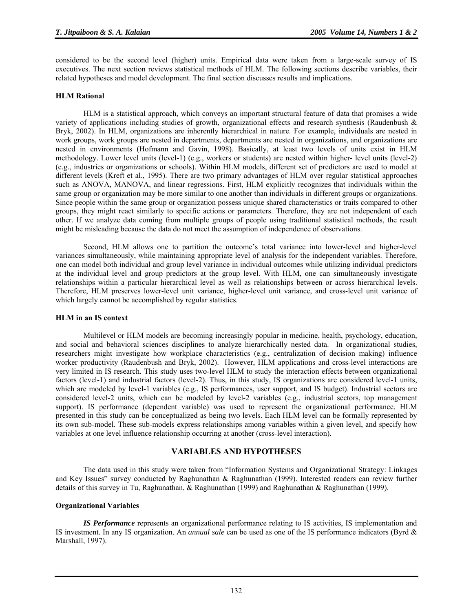considered to be the second level (higher) units. Empirical data were taken from a large-scale survey of IS executives. The next section reviews statistical methods of HLM. The following sections describe variables, their related hypotheses and model development. The final section discusses results and implications.

# **HLM Rational**

HLM is a statistical approach, which conveys an important structural feature of data that promises a wide variety of applications including studies of growth, organizational effects and research synthesis (Raudenbush  $\&$ Bryk, 2002). In HLM, organizations are inherently hierarchical in nature. For example, individuals are nested in work groups, work groups are nested in departments, departments are nested in organizations, and organizations are nested in environments (Hofmann and Gavin, 1998). Basically, at least two levels of units exist in HLM methodology. Lower level units (level-1) (e.g., workers or students) are nested within higher- level units (level-2) (e.g., industries or organizations or schools). Within HLM models, different set of predictors are used to model at different levels (Kreft et al., 1995). There are two primary advantages of HLM over regular statistical approaches such as ANOVA, MANOVA, and linear regressions. First, HLM explicitly recognizes that individuals within the same group or organization may be more similar to one another than individuals in different groups or organizations. Since people within the same group or organization possess unique shared characteristics or traits compared to other groups, they might react similarly to specific actions or parameters. Therefore, they are not independent of each other. If we analyze data coming from multiple groups of people using traditional statistical methods, the result might be misleading because the data do not meet the assumption of independence of observations.

Second, HLM allows one to partition the outcome's total variance into lower-level and higher-level variances simultaneously, while maintaining appropriate level of analysis for the independent variables. Therefore, one can model both individual and group level variance in individual outcomes while utilizing individual predictors at the individual level and group predictors at the group level. With HLM, one can simultaneously investigate relationships within a particular hierarchical level as well as relationships between or across hierarchical levels. Therefore, HLM preserves lower-level unit variance, higher-level unit variance, and cross-level unit variance of which largely cannot be accomplished by regular statistics.

#### **HLM in an IS context**

 Multilevel or HLM models are becoming increasingly popular in medicine, health, psychology, education, and social and behavioral sciences disciplines to analyze hierarchically nested data. In organizational studies, researchers might investigate how workplace characteristics (e.g., centralization of decision making) influence worker productivity (Raudenbush and Bryk, 2002). However, HLM applications and cross-level interactions are very limited in IS research. This study uses two-level HLM to study the interaction effects between organizational factors (level-1) and industrial factors (level-2). Thus, in this study, IS organizations are considered level-1 units, which are modeled by level-1 variables (e.g., IS performances, user support, and IS budget). Industrial sectors are considered level-2 units, which can be modeled by level-2 variables (e.g., industrial sectors, top management support). IS performance (dependent variable) was used to represent the organizational performance. HLM presented in this study can be conceptualized as being two levels. Each HLM level can be formally represented by its own sub-model. These sub-models express relationships among variables within a given level, and specify how variables at one level influence relationship occurring at another (cross-level interaction).

# **VARIABLES AND HYPOTHESES**

The data used in this study were taken from "Information Systems and Organizational Strategy: Linkages and Key Issues" survey conducted by Raghunathan & Raghunathan (1999). Interested readers can review further details of this survey in Tu, Raghunathan, & Raghunathan (1999) and Raghunathan & Raghunathan (1999).

# **Organizational Variables**

*IS Performance* represents an organizational performance relating to IS activities, IS implementation and IS investment. In any IS organization. An *annual sale* can be used as one of the IS performance indicators (Byrd & Marshall, 1997).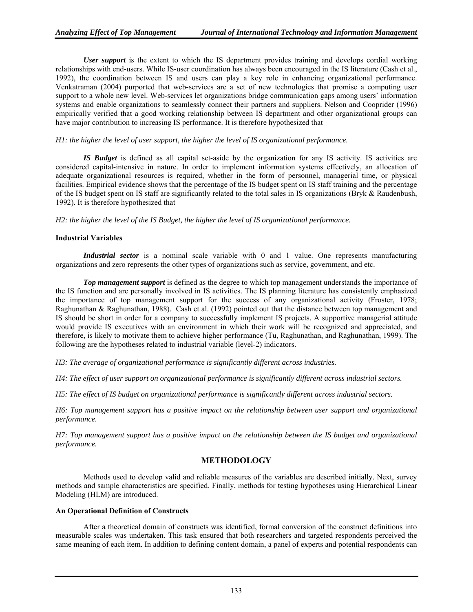*User support* is the extent to which the IS department provides training and develops cordial working relationships with end-users. While IS-user coordination has always been encouraged in the IS literature (Cash et al., 1992), the coordination between IS and users can play a key role in enhancing organizational performance. Venkatraman (2004) purported that web-services are a set of new technologies that promise a computing user support to a whole new level. Web-services let organizations bridge communication gaps among users' information systems and enable organizations to seamlessly connect their partners and suppliers. Nelson and Cooprider (1996) empirically verified that a good working relationship between IS department and other organizational groups can have major contribution to increasing IS performance. It is therefore hypothesized that

# *H1: the higher the level of user support, the higher the level of IS organizational performance.*

*IS Budget* is defined as all capital set-aside by the organization for any IS activity. IS activities are considered capital-intensive in nature. In order to implement information systems effectively, an allocation of adequate organizational resources is required, whether in the form of personnel, managerial time, or physical facilities. Empirical evidence shows that the percentage of the IS budget spent on IS staff training and the percentage of the IS budget spent on IS staff are significantly related to the total sales in IS organizations (Bryk & Raudenbush, 1992). It is therefore hypothesized that

*H2: the higher the level of the IS Budget, the higher the level of IS organizational performance.* 

#### **Industrial Variables**

*Industrial sector* is a nominal scale variable with 0 and 1 value. One represents manufacturing organizations and zero represents the other types of organizations such as service, government, and etc.

*Top management support* is defined as the degree to which top management understands the importance of the IS function and are personally involved in IS activities. The IS planning literature has consistently emphasized the importance of top management support for the success of any organizational activity (Froster, 1978; Raghunathan & Raghunathan, 1988). Cash et al. (1992) pointed out that the distance between top management and IS should be short in order for a company to successfully implement IS projects. A supportive managerial attitude would provide IS executives with an environment in which their work will be recognized and appreciated, and therefore, is likely to motivate them to achieve higher performance (Tu, Raghunathan, and Raghunathan, 1999). The following are the hypotheses related to industrial variable (level-2) indicators.

*H3: The average of organizational performance is significantly different across industries.* 

*H4: The effect of user support on organizational performance is significantly different across industrial sectors.* 

*H5: The effect of IS budget on organizational performance is significantly different across industrial sectors.* 

*H6: Top management support has a positive impact on the relationship between user support and organizational performance.* 

*H7: Top management support has a positive impact on the relationship between the IS budget and organizational performance.*

# **METHODOLOGY**

Methods used to develop valid and reliable measures of the variables are described initially. Next, survey methods and sample characteristics are specified. Finally, methods for testing hypotheses using Hierarchical Linear Modeling (HLM) are introduced.

# **An Operational Definition of Constructs**

After a theoretical domain of constructs was identified, formal conversion of the construct definitions into measurable scales was undertaken. This task ensured that both researchers and targeted respondents perceived the same meaning of each item. In addition to defining content domain, a panel of experts and potential respondents can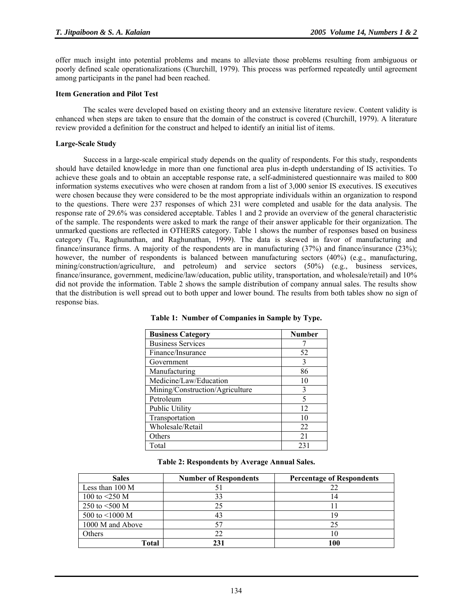offer much insight into potential problems and means to alleviate those problems resulting from ambiguous or poorly defined scale operationalizations (Churchill, 1979). This process was performed repeatedly until agreement among participants in the panel had been reached.

#### **Item Generation and Pilot Test**

The scales were developed based on existing theory and an extensive literature review. Content validity is enhanced when steps are taken to ensure that the domain of the construct is covered (Churchill, 1979). A literature review provided a definition for the construct and helped to identify an initial list of items.

# **Large-Scale Study**

Success in a large-scale empirical study depends on the quality of respondents. For this study, respondents should have detailed knowledge in more than one functional area plus in-depth understanding of IS activities. To achieve these goals and to obtain an acceptable response rate, a self-administered questionnaire was mailed to 800 information systems executives who were chosen at random from a list of 3,000 senior IS executives. IS executives were chosen because they were considered to be the most appropriate individuals within an organization to respond to the questions. There were 237 responses of which 231 were completed and usable for the data analysis. The response rate of 29.6% was considered acceptable. Tables 1 and 2 provide an overview of the general characteristic of the sample. The respondents were asked to mark the range of their answer applicable for their organization. The unmarked questions are reflected in OTHERS category. Table 1 shows the number of responses based on business category (Tu, Raghunathan, and Raghunathan, 1999). The data is skewed in favor of manufacturing and finance/insurance firms. A majority of the respondents are in manufacturing (37%) and finance/insurance (23%); however, the number of respondents is balanced between manufacturing sectors (40%) (e.g., manufacturing, mining/construction/agriculture, and petroleum) and service sectors (50%) (e.g., business services, finance/insurance, government, medicine/law/education, public utility, transportation, and wholesale/retail) and 10% did not provide the information. Table 2 shows the sample distribution of company annual sales. The results show that the distribution is well spread out to both upper and lower bound. The results from both tables show no sign of response bias.

| <b>Business Category</b>        | <b>Number</b> |
|---------------------------------|---------------|
| <b>Business Services</b>        |               |
| Finance/Insurance               | 52            |
| Government                      | 3             |
| Manufacturing                   | 86            |
| Medicine/Law/Education          | 10            |
| Mining/Construction/Agriculture | 3             |
| Petroleum                       | 5             |
| Public Utility                  | 12            |
| Transportation                  | 10            |
| Wholesale/Retail                | 22            |
| Others                          | 21            |
| Total                           | 231           |

**Table 1: Number of Companies in Sample by Type.** 

| <b>Sales</b>     | <b>Number of Respondents</b> | <b>Percentage of Respondents</b> |
|------------------|------------------------------|----------------------------------|
| Less than 100 M  |                              | 22                               |
| 100 to $<$ 250 M | 33                           | 14                               |
| 250 to $<500$ M  |                              |                                  |
| 500 to <1000 M   |                              | 19                               |
| 1000 M and Above |                              | 25                               |
| <b>Others</b>    | 22                           | H.                               |
| Total            |                              | 100                              |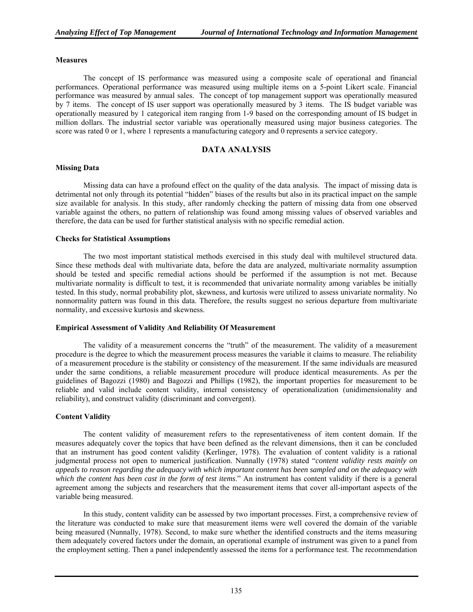#### **Measures**

The concept of IS performance was measured using a composite scale of operational and financial performances. Operational performance was measured using multiple items on a 5-point Likert scale. Financial performance was measured by annual sales. The concept of top management support was operationally measured by 7 items. The concept of IS user support was operationally measured by 3 items. The IS budget variable was operationally measured by 1 categorical item ranging from 1-9 based on the corresponding amount of IS budget in million dollars. The industrial sector variable was operationally measured using major business categories. The score was rated 0 or 1, where 1 represents a manufacturing category and 0 represents a service category.

# **DATA ANALYSIS**

# **Missing Data**

Missing data can have a profound effect on the quality of the data analysis. The impact of missing data is detrimental not only through its potential "hidden" biases of the results but also in its practical impact on the sample size available for analysis. In this study, after randomly checking the pattern of missing data from one observed variable against the others, no pattern of relationship was found among missing values of observed variables and therefore, the data can be used for further statistical analysis with no specific remedial action.

#### **Checks for Statistical Assumptions**

The two most important statistical methods exercised in this study deal with multilevel structured data. Since these methods deal with multivariate data, before the data are analyzed, multivariate normality assumption should be tested and specific remedial actions should be performed if the assumption is not met. Because multivariate normality is difficult to test, it is recommended that univariate normality among variables be initially tested. In this study, normal probability plot, skewness, and kurtosis were utilized to assess univariate normality. No nonnormality pattern was found in this data. Therefore, the results suggest no serious departure from multivariate normality, and excessive kurtosis and skewness.

#### **Empirical Assessment of Validity And Reliability Of Measurement**

The validity of a measurement concerns the "truth" of the measurement. The validity of a measurement procedure is the degree to which the measurement process measures the variable it claims to measure. The reliability of a measurement procedure is the stability or consistency of the measurement. If the same individuals are measured under the same conditions, a reliable measurement procedure will produce identical measurements. As per the guidelines of Bagozzi (1980) and Bagozzi and Phillips (1982), the important properties for measurement to be reliable and valid include content validity, internal consistency of operationalization (unidimensionality and reliability), and construct validity (discriminant and convergent).

# **Content Validity**

The content validity of measurement refers to the representativeness of item content domain. If the measures adequately cover the topics that have been defined as the relevant dimensions, then it can be concluded that an instrument has good content validity (Kerlinger, 1978). The evaluation of content validity is a rational judgmental process not open to numerical justification. Nunnally (1978) stated "*content validity rests mainly on appeals to reason regarding the adequacy with which important content has been sampled and on the adequacy with which the content has been cast in the form of test items*." An instrument has content validity if there is a general agreement among the subjects and researchers that the measurement items that cover all-important aspects of the variable being measured.

In this study, content validity can be assessed by two important processes. First, a comprehensive review of the literature was conducted to make sure that measurement items were well covered the domain of the variable being measured (Nunnally, 1978). Second, to make sure whether the identified constructs and the items measuring them adequately covered factors under the domain, an operational example of instrument was given to a panel from the employment setting. Then a panel independently assessed the items for a performance test. The recommendation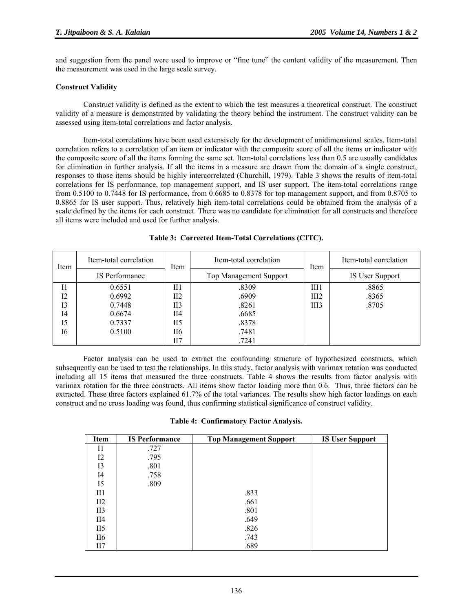and suggestion from the panel were used to improve or "fine tune" the content validity of the measurement. Then the measurement was used in the large scale survey.

# **Construct Validity**

Construct validity is defined as the extent to which the test measures a theoretical construct. The construct validity of a measure is demonstrated by validating the theory behind the instrument. The construct validity can be assessed using item-total correlations and factor analysis.

Item-total correlations have been used extensively for the development of unidimensional scales. Item-total correlation refers to a correlation of an item or indicator with the composite score of all the items or indicator with the composite score of all the items forming the same set. Item-total correlations less than 0.5 are usually candidates for elimination in further analysis. If all the items in a measure are drawn from the domain of a single construct, responses to those items should be highly intercorrelated (Churchill, 1979). Table 3 shows the results of item-total correlations for IS performance, top management support, and IS user support. The item-total correlations range from 0.5100 to 0.7448 for IS performance, from 0.6685 to 0.8378 for top management support, and from 0.8705 to 0.8865 for IS user support. Thus, relatively high item-total correlations could be obtained from the analysis of a scale defined by the items for each construct. There was no candidate for elimination for all constructs and therefore all items were included and used for further analysis.

| Item           | Item-total correlation | Item | Item-total correlation | Item | Item-total correlation |  |
|----------------|------------------------|------|------------------------|------|------------------------|--|
| IS Performance |                        |      | Top Management Support |      | IS User Support        |  |
| 11             | 0.6551                 | П1   | .8309                  | III1 | .8865                  |  |
| 12             | 0.6992                 | II2  | .6909                  | III2 | .8365                  |  |
| 13             | 0.7448                 | II3  | .8261                  | III3 | .8705                  |  |
| I4             | 0.6674                 | II4  | .6685                  |      |                        |  |
| I5             | 0.7337                 | II5  | .8378                  |      |                        |  |
| 16             | 0.5100                 | П6   | .7481                  |      |                        |  |
|                |                        | II7  | .7241                  |      |                        |  |

**Table 3: Corrected Item-Total Correlations (CITC).** 

Factor analysis can be used to extract the confounding structure of hypothesized constructs, which subsequently can be used to test the relationships. In this study, factor analysis with varimax rotation was conducted including all 15 items that measured the three constructs. Table 4 shows the results from factor analysis with varimax rotation for the three constructs. All items show factor loading more than 0.6. Thus, three factors can be extracted. These three factors explained 61.7% of the total variances. The results show high factor loadings on each construct and no cross loading was found, thus confirming statistical significance of construct validity.

|  | Table 4: Confirmatory Factor Analysis. |  |  |
|--|----------------------------------------|--|--|
|--|----------------------------------------|--|--|

| Item            | <b>IS Performance</b> | <b>Top Management Support</b> | <b>IS User Support</b> |
|-----------------|-----------------------|-------------------------------|------------------------|
| 11              | .727                  |                               |                        |
| 12              | .795                  |                               |                        |
| 13              | .801                  |                               |                        |
| I4              | .758                  |                               |                        |
| 15              | .809                  |                               |                        |
| II1             |                       | .833                          |                        |
| II2             |                       | .661                          |                        |
| II <sub>3</sub> |                       | .801                          |                        |
| II4             |                       | .649                          |                        |
| II <sub>5</sub> |                       | .826                          |                        |
| II6             |                       | .743                          |                        |
| II7             |                       | .689                          |                        |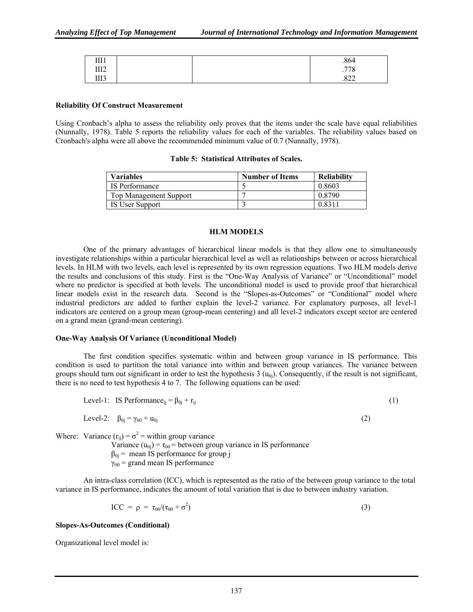| <b>TTT 1</b><br><b>TTT</b> |  | .864            |
|----------------------------|--|-----------------|
| <b>TTTA</b><br>1114        |  | $H = 0$<br>.110 |
| TTT<br>111J                |  | 022<br>.844     |

#### **Reliability Of Construct Measurement**

Using Cronbach's alpha to assess the reliability only proves that the items under the scale have equal reliabilities (Nunnally, 1978). Table 5 reports the reliability values for each of the variables. The reliability values based on Cronbach's alpha were all above the recommended minimum value of 0.7 (Nunnally, 1978).

| Variables                     | <b>Number of Items</b> | <b>Reliability</b> |
|-------------------------------|------------------------|--------------------|
| IS Performance                |                        | 0.8603             |
| <b>Top Management Support</b> |                        | 0.8790             |
| IS User Support               |                        | 0.8311             |

#### **HLM MODELS**

One of the primary advantages of hierarchical linear models is that they allow one to simultaneously investigate relationships within a particular hierarchical level as well as relationships between or across hierarchical levels. In HLM with two levels, each level is represented by its own regression equations. Two HLM models derive the results and conclusions of this study. First is the "One-Way Analysis of Variance" or "Unconditional" model where no predictor is specified at both levels. The unconditional model is used to provide proof that hierarchical linear models exist in the research data. Second is the "Slopes-as-Outcomes" or "Conditional" model where industrial predictors are added to further explain the level-2 variance. For explanatory purposes, all level-1 indicators are centered on a group mean (group-mean centering) and all level-2 indicators except sector are centered on a grand mean (grand-mean centering).

#### **One-Way Analysis Of Variance (Unconditional Model)**

The first condition specifies systematic within and between group variance in IS performance. This condition is used to partition the total variance into within and between group variances. The variance between groups should turn out significant in order to test the hypothesis  $3(u_{0i})$ . Consequently, if the result is not significant, there is no need to test hypothesis 4 to 7. The following equations can be used:

Level-1: IS Performance<sub>ij</sub> = 
$$
\beta_{0j} + r_{ij}
$$
 (1)

Level-2:  $\beta_{0i} = \gamma_{00} + u_{0i}$  (2)

Where: Variance  $(r_{ij}) = \sigma^2$  = within group variance

Variance  $(u_{0j}) = \tau_{00}$  = between group variance in IS performance  $\beta_{0i}$  = mean IS performance for group j  $\gamma_{00}$  = grand mean IS performance

An intra-class correlation (ICC), which is represented as the ratio of the between group variance to the total variance in IS performance, indicates the amount of total variation that is due to between industry variation.

$$
ICC = \rho = \tau_{00}/(\tau_{00} + \sigma^2)
$$
 (3)

#### **Slopes-As-Outcomes (Conditional)**

Organizational level model is: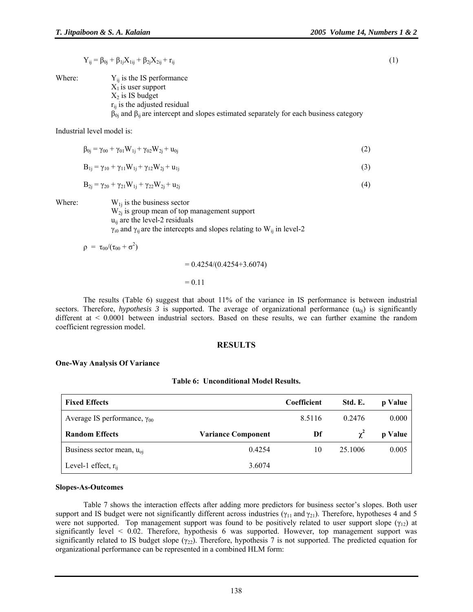$$
Y_{ij} = \beta_{0j} + \beta_{1j} X_{1ij} + \beta_{2j} X_{2ij} + r_{ij}
$$
 (1)

Where:  $Y_{ii}$  is the IS performance  $X_1$  is user support  $X_2$  is IS budget  $r_{ii}$  is the adjusted residual  $β<sub>0j</sub>$  and  $β<sub>ij</sub>$  are intercept and slopes estimated separately for each business category

Industrial level model is:

$$
\beta_{0j} = \gamma_{00} + \gamma_{01} W_{1j} + \gamma_{02} W_{2j} + u_{0j} \tag{2}
$$

$$
B_{1j} = \gamma_{10} + \gamma_{11} W_{1j} + \gamma_{12} W_{2j} + u_{1j}
$$
 (3)

$$
B_{2j} = \gamma_{20} + \gamma_{21} W_{1j} + \gamma_{22} W_{2j} + u_{2j}
$$
 (4)

Where:  $W_{1j}$  is the business sector  $W_{2i}$  is group mean of top management support  $u_{ii}$  are the level-2 residuals  $γ_{i0}$  and  $γ_{ij}$  are the intercepts and slopes relating to W<sub>ij</sub> in level-2

 $\rho = \tau_{00}/(\tau_{00} + \sigma^2)$ 

 $= 0.4254/(0.4254 + 3.6074)$ 

#### $= 0.11$

The results (Table 6) suggest that about 11% of the variance in IS performance is between industrial sectors. Therefore, *hypothesis 3* is supported. The average of organizational performance  $(u_{0j})$  is significantly different at < 0.0001 between industrial sectors. Based on these results, we can further examine the random coefficient regression model.

#### **RESULTS**

#### **One-Way Analysis Of Variance**

#### **Table 6: Unconditional Model Results.**

| <b>Fixed Effects</b>                  |                           | <b>Coefficient</b> | Std. E.    | p Value |
|---------------------------------------|---------------------------|--------------------|------------|---------|
| Average IS performance, $\gamma_{00}$ |                           | 8.5116             | 0.2476     | 0.000   |
| <b>Random Effects</b>                 | <b>Variance Component</b> | Df                 | $\gamma^2$ | p Value |
| Business sector mean, $u_{oi}$        | 0.4254                    | 10                 | 25.1006    | 0.005   |
| Level-1 effect, $r_{ii}$              | 3.6074                    |                    |            |         |

#### **Slopes-As-Outcomes**

Table 7 shows the interaction effects after adding more predictors for business sector's slopes. Both user support and IS budget were not significantly different across industries ( $\gamma_{11}$  and  $\gamma_{21}$ ). Therefore, hypotheses 4 and 5 were not supported. Top management support was found to be positively related to user support slope ( $\gamma_{12}$ ) at significantly level < 0.02. Therefore, hypothesis 6 was supported. However, top management support was significantly related to IS budget slope ( $\gamma_{22}$ ). Therefore, hypothesis 7 is not supported. The predicted equation for organizational performance can be represented in a combined HLM form: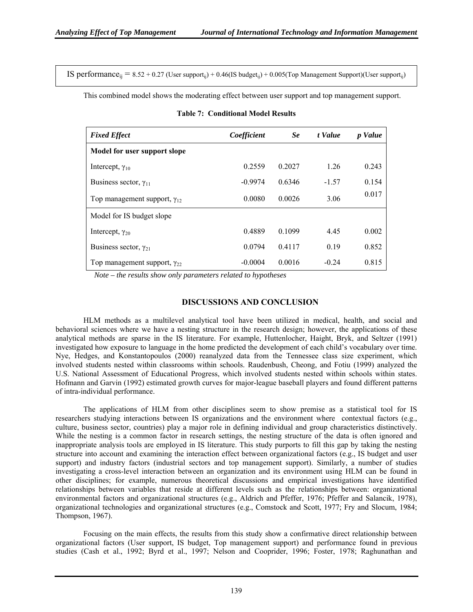IS performance<sub>ii</sub> =  $8.52 + 0.27$  (User support<sub>ii</sub>) + 0.46(IS budget<sub>ii</sub>) + 0.005(Top Management Support)(User support<sub>ii</sub>)

This combined model shows the moderating effect between user support and top management support.

| <b>Fixed Effect</b>                   | Coefficient | Se     | t Value | p Value |
|---------------------------------------|-------------|--------|---------|---------|
| Model for user support slope          |             |        |         |         |
| Intercept, $\gamma_{10}$              | 0.2559      | 0.2027 | 1.26    | 0.243   |
| Business sector, $\gamma_{11}$        | $-0.9974$   | 0.6346 | $-1.57$ | 0.154   |
| Top management support, $\gamma_{12}$ | 0.0080      | 0.0026 | 3.06    | 0.017   |
| Model for IS budget slope             |             |        |         |         |
| Intercept, $\gamma_{20}$              | 0.4889      | 0.1099 | 4.45    | 0.002   |
| Business sector, $\gamma_{21}$        | 0.0794      | 0.4117 | 0.19    | 0.852   |
| Top management support, $\gamma_{22}$ | $-0.0004$   | 0.0016 | $-0.24$ | 0.815   |

**Table 7: Conditional Model Results** 

 *Note – the results show only parameters related to hypotheses* 

#### **DISCUSSIONS AND CONCLUSION**

HLM methods as a multilevel analytical tool have been utilized in medical, health, and social and behavioral sciences where we have a nesting structure in the research design; however, the applications of these analytical methods are sparse in the IS literature. For example, Huttenlocher, Haight, Bryk, and Seltzer (1991) investigated how exposure to language in the home predicted the development of each child's vocabulary over time. Nye, Hedges, and Konstantopoulos (2000) reanalyzed data from the Tennessee class size experiment, which involved students nested within classrooms within schools. Raudenbush, Cheong, and Fotiu (1999) analyzed the U.S. National Assessment of Educational Progress, which involved students nested within schools within states. Hofmann and Garvin (1992) estimated growth curves for major-league baseball players and found different patterns of intra-individual performance.

The applications of HLM from other disciplines seem to show premise as a statistical tool for IS researchers studying interactions between IS organizations and the environment where contextual factors (e.g., culture, business sector, countries) play a major role in defining individual and group characteristics distinctively. While the nesting is a common factor in research settings, the nesting structure of the data is often ignored and inappropriate analysis tools are employed in IS literature. This study purports to fill this gap by taking the nesting structure into account and examining the interaction effect between organizational factors (e.g., IS budget and user support) and industry factors (industrial sectors and top management support). Similarly, a number of studies investigating a cross-level interaction between an organization and its environment using HLM can be found in other disciplines; for example, numerous theoretical discussions and empirical investigations have identified relationships between variables that reside at different levels such as the relationships between: organizational environmental factors and organizational structures (e.g., Aldrich and Pfeffer, 1976; Pfeffer and Salancik, 1978), organizational technologies and organizational structures (e.g., Comstock and Scott, 1977; Fry and Slocum, 1984; Thompson, 1967).

Focusing on the main effects, the results from this study show a confirmative direct relationship between organizational factors (User support, IS budget, Top management support) and performance found in previous studies (Cash et al., 1992; Byrd et al., 1997; Nelson and Cooprider, 1996; Foster, 1978; Raghunathan and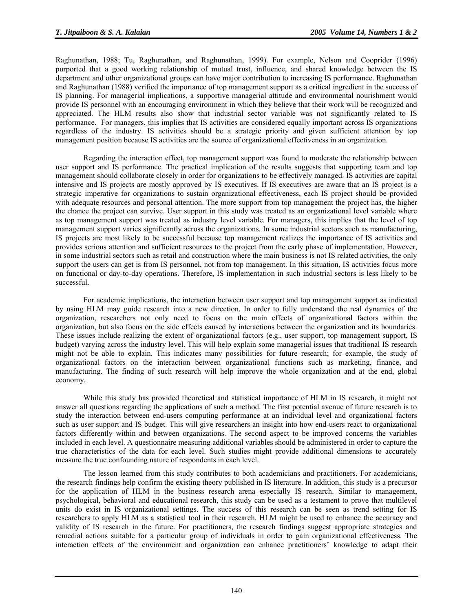Raghunathan, 1988; Tu, Raghunathan, and Raghunathan, 1999). For example, Nelson and Cooprider (1996) purported that a good working relationship of mutual trust, influence, and shared knowledge between the IS department and other organizational groups can have major contribution to increasing IS performance. Raghunathan and Raghunathan (1988) verified the importance of top management support as a critical ingredient in the success of IS planning. For managerial implications, a supportive managerial attitude and environmental nourishment would provide IS personnel with an encouraging environment in which they believe that their work will be recognized and appreciated. The HLM results also show that industrial sector variable was not significantly related to IS performance. For managers, this implies that IS activities are considered equally important across IS organizations regardless of the industry. IS activities should be a strategic priority and given sufficient attention by top management position because IS activities are the source of organizational effectiveness in an organization.

Regarding the interaction effect, top management support was found to moderate the relationship between user support and IS performance. The practical implication of the results suggests that supporting team and top management should collaborate closely in order for organizations to be effectively managed. IS activities are capital intensive and IS projects are mostly approved by IS executives. If IS executives are aware that an IS project is a strategic imperative for organizations to sustain organizational effectiveness, each IS project should be provided with adequate resources and personal attention. The more support from top management the project has, the higher the chance the project can survive. User support in this study was treated as an organizational level variable where as top management support was treated as industry level variable. For managers, this implies that the level of top management support varies significantly across the organizations. In some industrial sectors such as manufacturing, IS projects are most likely to be successful because top management realizes the importance of IS activities and provides serious attention and sufficient resources to the project from the early phase of implementation. However, in some industrial sectors such as retail and construction where the main business is not IS related activities, the only support the users can get is from IS personnel, not from top management. In this situation, IS activities focus more on functional or day-to-day operations. Therefore, IS implementation in such industrial sectors is less likely to be successful.

For academic implications, the interaction between user support and top management support as indicated by using HLM may guide research into a new direction. In order to fully understand the real dynamics of the organization, researchers not only need to focus on the main effects of organizational factors within the organization, but also focus on the side effects caused by interactions between the organization and its boundaries. These issues include realizing the extent of organizational factors (e.g., user support, top management support, IS budget) varying across the industry level. This will help explain some managerial issues that traditional IS research might not be able to explain. This indicates many possibilities for future research; for example, the study of organizational factors on the interaction between organizational functions such as marketing, finance, and manufacturing. The finding of such research will help improve the whole organization and at the end, global economy.

While this study has provided theoretical and statistical importance of HLM in IS research, it might not answer all questions regarding the applications of such a method. The first potential avenue of future research is to study the interaction between end-users computing performance at an individual level and organizational factors such as user support and IS budget. This will give researchers an insight into how end-users react to organizational factors differently within and between organizations. The second aspect to be improved concerns the variables included in each level. A questionnaire measuring additional variables should be administered in order to capture the true characteristics of the data for each level. Such studies might provide additional dimensions to accurately measure the true confounding nature of respondents in each level.

The lesson learned from this study contributes to both academicians and practitioners. For academicians, the research findings help confirm the existing theory published in IS literature. In addition, this study is a precursor for the application of HLM in the business research arena especially IS research. Similar to management, psychological, behavioral and educational research, this study can be used as a testament to prove that multilevel units do exist in IS organizational settings. The success of this research can be seen as trend setting for IS researchers to apply HLM as a statistical tool in their research. HLM might be used to enhance the accuracy and validity of IS research in the future. For practitioners, the research findings suggest appropriate strategies and remedial actions suitable for a particular group of individuals in order to gain organizational effectiveness. The interaction effects of the environment and organization can enhance practitioners' knowledge to adapt their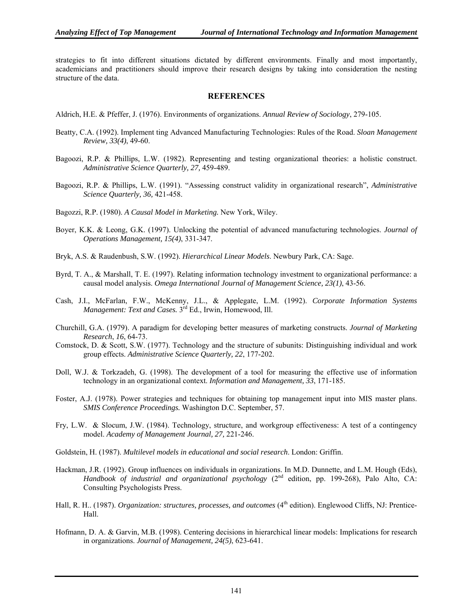strategies to fit into different situations dictated by different environments. Finally and most importantly, academicians and practitioners should improve their research designs by taking into consideration the nesting structure of the data.

# **REFERENCES**

- Aldrich, H.E. & Pfeffer, J. (1976). Environments of organizations. *Annual Review of Sociology*, 279-105.
- Beatty, C.A. (1992). Implement ting Advanced Manufacturing Technologies: Rules of the Road. *Sloan Management Review, 33(4)*, 49-60.
- Bagoozi, R.P. & Phillips, L.W. (1982). Representing and testing organizational theories: a holistic construct. *Administrative Science Quarterly, 27,* 459-489.
- Bagoozi, R.P. & Phillips, L.W. (1991). "Assessing construct validity in organizational research", *Administrative Science Quarterly, 36,* 421-458.
- Bagozzi, R.P. (1980). *A Causal Model in Marketing.* New York, Wiley.
- Boyer, K.K. & Leong, G.K. (1997). Unlocking the potential of advanced manufacturing technologies. *Journal of Operations Management, 15(4)*, 331-347.
- Bryk, A.S. & Raudenbush, S.W. (1992). *Hierarchical Linear Models*. Newbury Park, CA: Sage.
- Byrd, T. A., & Marshall, T. E. (1997). Relating information technology investment to organizational performance: a causal model analysis. *Omega International Journal of Management Science, 23(1)*, 43-56.
- Cash, J.I., McFarlan, F.W., McKenny, J.L., & Applegate, L.M. (1992). *Corporate Information Systems Management: Text and Cases.* 3rd Ed., Irwin, Homewood, Ill.
- Churchill, G.A. (1979). A paradigm for developing better measures of marketing constructs. *Journal of Marketing Research*, *16*, 64-73.
- Comstock, D. & Scott, S.W. (1977). Technology and the structure of subunits: Distinguishing individual and work group effects. *Administrative Science Quarterly, 22*, 177-202.
- Doll, W.J. & Torkzadeh, G. (1998). The development of a tool for measuring the effective use of information technology in an organizational context. *Information and Management, 33*, 171-185.
- Foster, A.J. (1978). Power strategies and techniques for obtaining top management input into MIS master plans. *SMIS Conference Proceedings.* Washington D.C. September, 57.
- Fry, L.W. & Slocum, J.W. (1984). Technology, structure, and workgroup effectiveness: A test of a contingency model. *Academy of Management Journal, 27,* 221-246.
- Goldstein, H. (1987). *Multilevel models in educational and social research*. London: Griffin.
- Hackman, J.R. (1992). Group influences on individuals in organizations. In M.D. Dunnette, and L.M. Hough (Eds), *Handbook of industrial and organizational psychology* (2<sup>nd</sup> edition, pp. 199-268), Palo Alto, CA: Consulting Psychologists Press.
- Hall, R. H., (1987). *Organization: structures, processes, and outcomes* (4<sup>th</sup> edition). Englewood Cliffs, NJ: Prentice-Hall.
- Hofmann, D. A. & Garvin, M.B. (1998). Centering decisions in hierarchical linear models: Implications for research in organizations. *Journal of Management, 24(5)*, 623-641.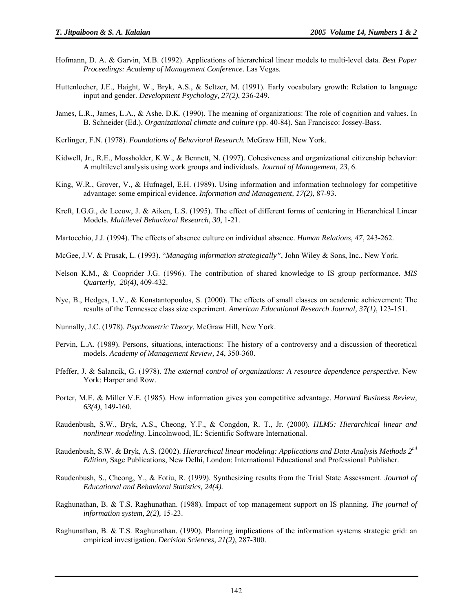- Hofmann, D. A. & Garvin, M.B. (1992). Applications of hierarchical linear models to multi-level data. *Best Paper Proceedings: Academy of Management Conference*. Las Vegas.
- Huttenlocher, J.E., Haight, W., Bryk, A.S., & Seltzer, M. (1991). Early vocabulary growth: Relation to language input and gender. *Development Psychology, 27(2)*, 236-249.
- James, L.R., James, L.A., & Ashe, D.K. (1990). The meaning of organizations: The role of cognition and values. In B. Schneider (Ed.), *Organizational climate and culture* (pp. 40-84). San Francisco: Jossey-Bass.
- Kerlinger, F.N. (1978). *Foundations of Behavioral Research.* McGraw Hill, New York.
- Kidwell, Jr., R.E., Mossholder, K.W., & Bennett, N. (1997). Cohesiveness and organizational citizenship behavior: A multilevel analysis using work groups and individuals. *Journal of Management, 23*, 6.
- King, W.R., Grover, V., & Hufnagel, E.H. (1989). Using information and information technology for competitive advantage: some empirical evidence. *Information and Management, 17(2)*, 87-93.
- Kreft, I.G.G., de Leeuw, J. & Aiken, L.S. (1995). The effect of different forms of centering in Hierarchical Linear Models. *Multilevel Behavioral Research, 30*, 1-21.
- Martocchio, J.J. (1994). The effects of absence culture on individual absence. *Human Relations, 47*, 243-262.
- McGee, J.V. & Prusak, L. (1993). "*Managing information strategically"*, John Wiley & Sons, Inc., New York.
- Nelson K.M., & Cooprider J.G. (1996). The contribution of shared knowledge to IS group performance. *MIS Quarterly, 20(4)*, 409-432.
- Nye, B., Hedges, L.V., & Konstantopoulos, S. (2000). The effects of small classes on academic achievement: The results of the Tennessee class size experiment. *American Educational Research Journal, 37(1)*, 123-151.
- Nunnally, J.C. (1978). *Psychometric Theory*. McGraw Hill, New York.
- Pervin, L.A. (1989). Persons, situations, interactions: The history of a controversy and a discussion of theoretical models. *Academy of Management Review, 14*, 350-360.
- Pfeffer, J. & Salancik, G. (1978). *The external control of organizations: A resource dependence perspective*. New York: Harper and Row.
- Porter, M.E. & Miller V.E. (1985). How information gives you competitive advantage. *Harvard Business Review, 63(4)*, 149-160.
- Raudenbush, S.W., Bryk, A.S., Cheong, Y.F., & Congdon, R. T., Jr. (2000). *HLM5: Hierarchical linear and nonlinear modeling*. Lincolnwood, IL: Scientific Software International.
- Raudenbush, S.W. & Bryk, A.S. (2002). *Hierarchical linear modeling: Applications and Data Analysis Methods 2nd Edition,* Sage Publications, New Delhi, London: International Educational and Professional Publisher.
- Raudenbush, S., Cheong, Y., & Fotiu, R. (1999). Synthesizing results from the Trial State Assessment. *Journal of Educational and Behavioral Statistics, 24(4).*
- Raghunathan, B. & T.S. Raghunathan. (1988). Impact of top management support on IS planning. *The journal of information system, 2(2),* 15-23.
- Raghunathan, B. & T.S. Raghunathan. (1990). Planning implications of the information systems strategic grid: an empirical investigation. *Decision Sciences, 21(2)*, 287-300.